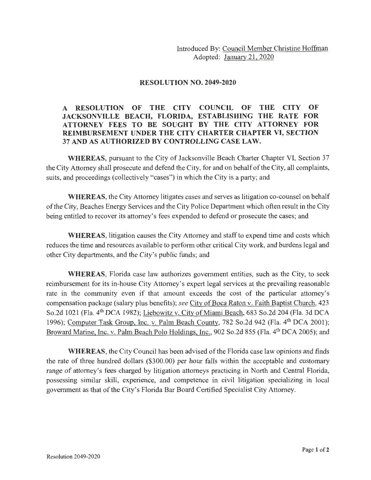Introduced By: Council Member Christine Hoffman Adopted: January 21, 2020

## **RESOLUTION NO. 2049-2020**

## **A RESOLUTION OF THE CITY COUNCIL OF THE CITY OF JACKSONVILLE BEACH, FLORIDA, ESTABLISHING THE RATE FOR ATTORNEY FEES TO BE SOUGHT BY THE CITY ATTORNEY FOR REIMBURSEMENT UNDER THE CITY CHARTER CHAPTER VI, SECTION 37 AND AS AUTHORIZED BY CONTROLLING CASE LAW.**

**WHEREAS,** pursuant to the City of Jacksonville Beach Charter Chapter VI, Section 37 the City Attorney shall prosecute and defend the City, for and on behalf of the City, all complaints, suits, and proceedings (collectively "cases") in which the City is a party; and

**WHEREAS,** the City Attorney litigates cases and serves as litigation co-counsel on behalf of the City, Beaches Energy Services and the City Police Department which often result in the City being entitled to recover its attorney's fees expended to defend or prosecute the cases; and

**WHEREAS,** litigation causes the City Attorney and staff to expend time and costs which reduces the time and resources available to perform other critical City work, and burdens legal and other City departments, and the City's public funds; and

**WHEREAS,** Florida case law authorizes government entities, such as the City, to seek reimbursement for its in-house City Attorney's expert legal services at the prevailing reasonable rate in the community even if that amount exceeds the cost of the particular attorney's compensation package (salary plus benefits); *see* City of Boca Raton v. Faith Baptist Church, 423 So.2d 1021 (Fla. 4<sup>th</sup> DCA 1982); Liebowitz v. City of Miami Beach, 683 So.2d 204 (Fla. 3d DCA 1996); Computer Task Group, Inc. v. Palm Beach County, 782 So.2d 942 (Fla. 4<sup>th</sup> DCA 2001); Broward Marine, Inc. v. Palm Beach Polo Holdings, Inc., 902 So.2d 855 (Fla. 4<sup>th</sup> DCA 2005); and

**WHEREAS,** the City Council has been advised of the Florida case law opinions and finds the rate of three hundred dollars (\$300.00) per hour falls within the acceptable and customary range of attorney's fees charged by litigation attorneys practicing in North and Central Florida, possessing similar skill, experience, and competence in civil litigation specializing in local government as that of the City's Florida Bar Board Certified Specialist City Attorney.